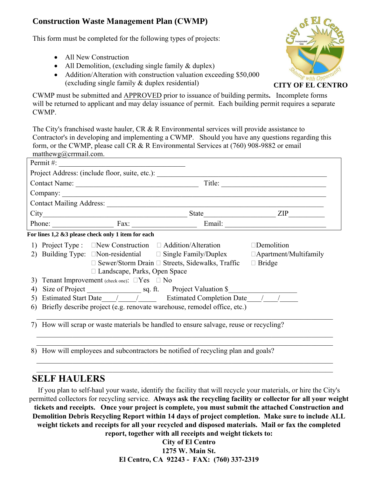## **Construction Waste Management Plan (CWMP)**

This form must be completed for the following types of projects:

- All New Construction
- All Demolition, (excluding single family & duplex)
- Addition/Alteration with construction valuation exceeding \$50,000 (excluding single family & duplex residential)



CWMP must be submitted and APPROVED prior to issuance of building permits**.** Incomplete forms will be returned to applicant and may delay issuance of permit. Each building permit requires a separate CWMP.

The City's franchised waste hauler, CR & R Environmental services will provide assistance to Contractor's in developing and implementing a CWMP. Should you have any questions regarding this form, or the CWMP, please call CR & R Environmental Services at (760) 908-9882 or email matthewg@crrmail.com.

| Permit #: $\qquad \qquad$ |                                                      |                                                                                     |                      |
|---------------------------|------------------------------------------------------|-------------------------------------------------------------------------------------|----------------------|
|                           |                                                      | Project Address: (include floor, suite, etc.): __________________________________   |                      |
|                           | Contact Name:                                        |                                                                                     |                      |
|                           |                                                      |                                                                                     |                      |
|                           |                                                      |                                                                                     |                      |
|                           |                                                      |                                                                                     | State <u>ZIP</u>     |
|                           |                                                      | Phone: Fax: Fax: Email: Email:                                                      |                      |
|                           | For lines 1,2 &3 please check only 1 item for each   |                                                                                     |                      |
|                           |                                                      | 1) Project Type : New Construction D Addition/Alteration                            | $\square$ Demolition |
|                           |                                                      |                                                                                     |                      |
|                           |                                                      | $\Box$ Sewer/Storm Drain $\Box$ Streets, Sidewalks, Traffic                         | $\Box$ Bridge        |
|                           | $\Box$ Landscape, Parks, Open Space                  |                                                                                     |                      |
| 3)                        | Tenant Improvement (check one): $\Box$ Yes $\Box$ No |                                                                                     |                      |
| 4)                        |                                                      |                                                                                     |                      |
|                           |                                                      | Estimated Start Date / / Estimated Completion Date / /                              |                      |
| 6)                        |                                                      | Briefly describe project (e.g. renovate warehouse, remodel office, etc.)            |                      |
|                           |                                                      |                                                                                     |                      |
| 7)                        |                                                      | How will scrap or waste materials be handled to ensure salvage, reuse or recycling? |                      |
|                           |                                                      |                                                                                     |                      |
|                           |                                                      |                                                                                     |                      |
|                           |                                                      |                                                                                     |                      |

8) How will employees and subcontractors be notified of recycling plan and goals?

## **SELF HAULERS**

If you plan to self-haul your waste, identify the facility that will recycle your materials, or hire the City's permitted collectors for recycling service. **Always ask the recycling facility or collector for all your weight tickets and receipts. Once your project is complete, you must submit the attached Construction and Demolition Debris Recycling Report within 14 days of project completion. Make sure to include ALL weight tickets and receipts for all your recycled and disposed materials. Mail or fax the completed report, together with all receipts and weight tickets to:**

 $\mathcal{L}_\mathcal{L} = \{ \mathcal{L}_\mathcal{L} = \{ \mathcal{L}_\mathcal{L} = \{ \mathcal{L}_\mathcal{L} = \{ \mathcal{L}_\mathcal{L} = \{ \mathcal{L}_\mathcal{L} = \{ \mathcal{L}_\mathcal{L} = \{ \mathcal{L}_\mathcal{L} = \{ \mathcal{L}_\mathcal{L} = \{ \mathcal{L}_\mathcal{L} = \{ \mathcal{L}_\mathcal{L} = \{ \mathcal{L}_\mathcal{L} = \{ \mathcal{L}_\mathcal{L} = \{ \mathcal{L}_\mathcal{L} = \{ \mathcal{L}_\mathcal{$  $\_$  , and the contribution of the contribution of the contribution of the contribution of  $\mathcal{L}_\text{max}$ 

> **City of El Centro 1275 W. Main St. El Centro, CA 92243 - FAX: (760) 337-2319**